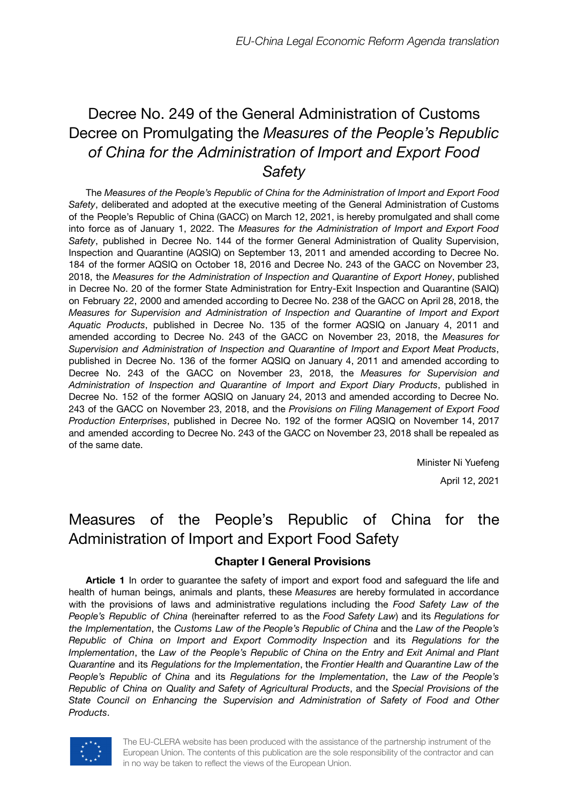# Decree No. 249 of the General Administration of Customs Decree on Promulgating the *Measures of the People's Republic of China for the Administration of Import and Export Food Safety*

The *Measures of the People's Republic of China for the Administration of Import and Export Food Safety*, deliberated and adopted at the executive meeting of the General Administration of Customs of the People's Republic of China (GACC) on March 12, 2021, is hereby promulgated and shall come into force as of January 1, 2022. The *Measures for the Administration of Import and Export Food Safety*, published in Decree No. 144 of the former General Administration of Quality Supervision, Inspection and Quarantine (AQSIQ) on September 13, 2011 and amended according to Decree No. 184 of the former AQSIQ on October 18, 2016 and Decree No. 243 of the GACC on November 23, 2018, the *Measures for the Administration of Inspection and Quarantine of Export Honey*, published in Decree No. 20 of the former State Administration for Entry-Exit Inspection and Quarantine (SAIQ) on February 22, 2000 and amended according to Decree No. 238 of the GACC on April 28, 2018, the *Measures for Supervision and Administration of Inspection and Quarantine of Import and Export Aquatic Products*, published in Decree No. 135 of the former AQSIQ on January 4, 2011 and amended according to Decree No. 243 of the GACC on November 23, 2018, the *Measures for Supervision and Administration of Inspection and Quarantine of Import and Export Meat Products*, published in Decree No. 136 of the former AQSIQ on January 4, 2011 and amended according to Decree No. 243 of the GACC on November 23, 2018, the *Measures for Supervision and Administration of Inspection and Quarantine of Import and Export Diary Products*, published in Decree No. 152 of the former AQSIQ on January 24, 2013 and amended according to Decree No. 243 of the GACC on November 23, 2018, and the *Provisions on Filing Management of Export Food Production Enterprises*, published in Decree No. 192 of the former AQSIQ on November 14, 2017 and amended according to Decree No. 243 of the GACC on November 23, 2018 shall be repealed as of the same date.

> Minister Ni Yuefeng April 12, 2021

## Measures of the People's Republic of China for the Administration of Import and Export Food Safety

## **Chapter I General Provisions**

**Article 1** In order to guarantee the safety of import and export food and safeguard the life and health of human beings, animals and plants, these *Measures* are hereby formulated in accordance with the provisions of laws and administrative regulations including the *Food Safety Law of the People's Republic of China* (hereinafter referred to as the *Food Safety Law*) and its *Regulations for the Implementation*, the *Customs Law of the People's Republic of China* and the *Law of the People's Republic of China on Import and Export Commodity Inspection* and its *Regulations for the Implementation*, the *Law of the People's Republic of China on the Entry and Exit Animal and Plant Quarantine* and its *Regulations for the Implementation*, the *Frontier Health and Quarantine Law of the People's Republic of China* and its *Regulations for the Implementation*, the *Law of the People's Republic of China on Quality and Safety of Agricultural Products*, and the *Special Provisions of the State Council on Enhancing the Supervision and Administration of Safety of Food and Other Products*.



The EU-CLERA website has been produced with the assistance of the partnership instrument of the European Union. The contents of this publication are the sole responsibility of the contractor and can in no way be taken to reflect the views of the European Union.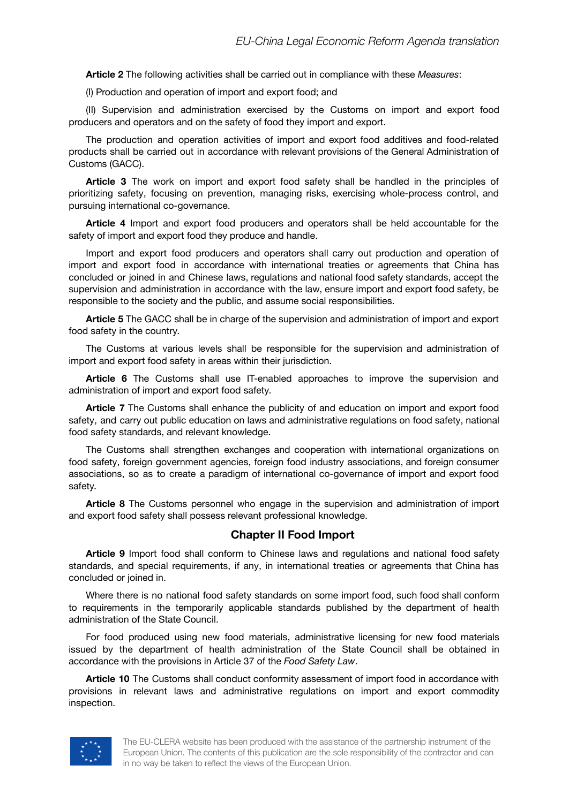**Article 2** The following activities shall be carried out in compliance with these *Measures*:

(I) Production and operation of import and export food; and

(II) Supervision and administration exercised by the Customs on import and export food producers and operators and on the safety of food they import and export.

The production and operation activities of import and export food additives and food-related products shall be carried out in accordance with relevant provisions of the General Administration of Customs (GACC).

**Article 3** The work on import and export food safety shall be handled in the principles of prioritizing safety, focusing on prevention, managing risks, exercising whole-process control, and pursuing international co-governance.

**Article 4** Import and export food producers and operators shall be held accountable for the safety of import and export food they produce and handle.

Import and export food producers and operators shall carry out production and operation of import and export food in accordance with international treaties or agreements that China has concluded or joined in and Chinese laws, regulations and national food safety standards, accept the supervision and administration in accordance with the law, ensure import and export food safety, be responsible to the society and the public, and assume social responsibilities.

**Article 5** The GACC shall be in charge of the supervision and administration of import and export food safety in the country.

The Customs at various levels shall be responsible for the supervision and administration of import and export food safety in areas within their jurisdiction.

**Article 6** The Customs shall use IT-enabled approaches to improve the supervision and administration of import and export food safety.

**Article 7** The Customs shall enhance the publicity of and education on import and export food safety, and carry out public education on laws and administrative regulations on food safety, national food safety standards, and relevant knowledge.

The Customs shall strengthen exchanges and cooperation with international organizations on food safety, foreign government agencies, foreign food industry associations, and foreign consumer associations, so as to create a paradigm of international co-governance of import and export food safety.

**Article 8** The Customs personnel who engage in the supervision and administration of import and export food safety shall possess relevant professional knowledge.

#### **Chapter II Food Import**

**Article 9** Import food shall conform to Chinese laws and regulations and national food safety standards, and special requirements, if any, in international treaties or agreements that China has concluded or joined in.

Where there is no national food safety standards on some import food, such food shall conform to requirements in the temporarily applicable standards published by the department of health administration of the State Council.

For food produced using new food materials, administrative licensing for new food materials issued by the department of health administration of the State Council shall be obtained in accordance with the provisions in Article 37 of the *Food Safety Law*.

**Article 10** The Customs shall conduct conformity assessment of import food in accordance with provisions in relevant laws and administrative regulations on import and export commodity inspection.

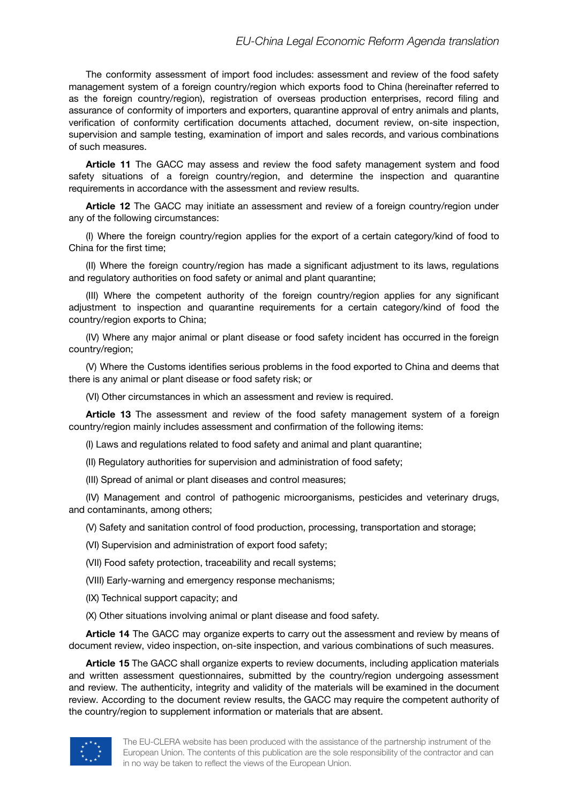The conformity assessment of import food includes: assessment and review of the food safety management system of a foreign country/region which exports food to China (hereinafter referred to as the foreign country/region), registration of overseas production enterprises, record filing and assurance of conformity of importers and exporters, quarantine approval of entry animals and plants, verification of conformity certification documents attached, document review, on-site inspection, supervision and sample testing, examination of import and sales records, and various combinations of such measures.

**Article 11** The GACC may assess and review the food safety management system and food safety situations of a foreign country/region, and determine the inspection and quarantine requirements in accordance with the assessment and review results.

**Article 12** The GACC may initiate an assessment and review of a foreign country/region under any of the following circumstances:

(I) Where the foreign country/region applies for the export of a certain category/kind of food to China for the first time;

(II) Where the foreign country/region has made a significant adjustment to its laws, regulations and regulatory authorities on food safety or animal and plant quarantine;

(III) Where the competent authority of the foreign country/region applies for any significant adjustment to inspection and quarantine requirements for a certain category/kind of food the country/region exports to China;

(IV) Where any major animal or plant disease or food safety incident has occurred in the foreign country/region;

(V) Where the Customs identifies serious problems in the food exported to China and deems that there is any animal or plant disease or food safety risk; or

(VI) Other circumstances in which an assessment and review is required.

**Article 13** The assessment and review of the food safety management system of a foreign country/region mainly includes assessment and confirmation of the following items:

(I) Laws and regulations related to food safety and animal and plant quarantine;

(II) Regulatory authorities for supervision and administration of food safety;

(III) Spread of animal or plant diseases and control measures;

(IV) Management and control of pathogenic microorganisms, pesticides and veterinary drugs, and contaminants, among others;

(V) Safety and sanitation control of food production, processing, transportation and storage;

(VI) Supervision and administration of export food safety;

(VII) Food safety protection, traceability and recall systems;

(VIII) Early-warning and emergency response mechanisms;

(IX) Technical support capacity; and

(X) Other situations involving animal or plant disease and food safety.

**Article 14** The GACC may organize experts to carry out the assessment and review by means of document review, video inspection, on-site inspection, and various combinations of such measures.

**Article 15** The GACC shall organize experts to review documents, including application materials and written assessment questionnaires, submitted by the country/region undergoing assessment and review. The authenticity, integrity and validity of the materials will be examined in the document review. According to the document review results, the GACC may require the competent authority of the country/region to supplement information or materials that are absent.

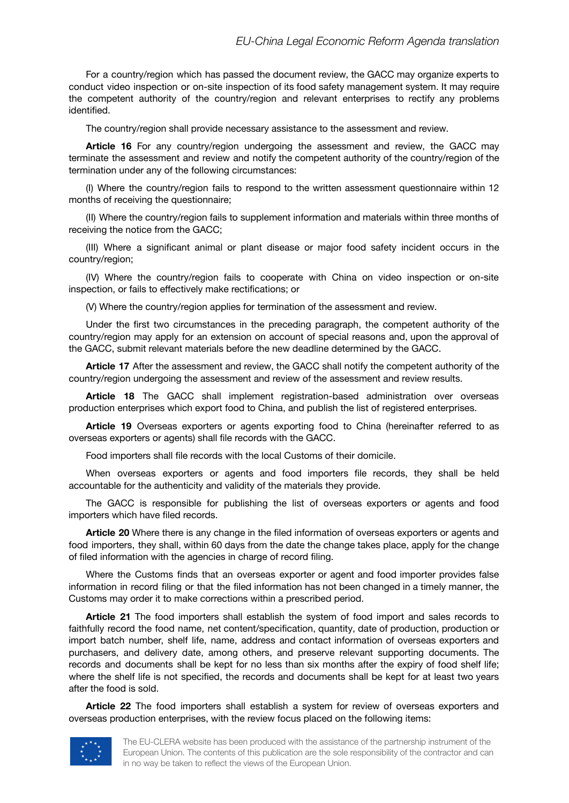For a country/region which has passed the document review, the GACC may organize experts to conduct video inspection or on-site inspection of its food safety management system. It may require the competent authority of the country/region and relevant enterprises to rectify any problems identified.

The country/region shall provide necessary assistance to the assessment and review.

**Article 16** For any country/region undergoing the assessment and review, the GACC may terminate the assessment and review and notify the competent authority of the country/region of the termination under any of the following circumstances:

(I) Where the country/region fails to respond to the written assessment questionnaire within 12 months of receiving the questionnaire;

(II) Where the country/region fails to supplement information and materials within three months of receiving the notice from the GACC;

(III) Where a significant animal or plant disease or major food safety incident occurs in the country/region;

(IV) Where the country/region fails to cooperate with China on video inspection or on-site inspection, or fails to effectively make rectifications; or

(V) Where the country/region applies for termination of the assessment and review.

Under the first two circumstances in the preceding paragraph, the competent authority of the country/region may apply for an extension on account of special reasons and, upon the approval of the GACC, submit relevant materials before the new deadline determined by the GACC.

**Article 17** After the assessment and review, the GACC shall notify the competent authority of the country/region undergoing the assessment and review of the assessment and review results.

**Article 18** The GACC shall implement registration-based administration over overseas production enterprises which export food to China, and publish the list of registered enterprises.

**Article 19** Overseas exporters or agents exporting food to China (hereinafter referred to as overseas exporters or agents) shall file records with the GACC.

Food importers shall file records with the local Customs of their domicile.

When overseas exporters or agents and food importers file records, they shall be held accountable for the authenticity and validity of the materials they provide.

The GACC is responsible for publishing the list of overseas exporters or agents and food importers which have filed records.

**Article 20** Where there is any change in the filed information of overseas exporters or agents and food importers, they shall, within 60 days from the date the change takes place, apply for the change of filed information with the agencies in charge of record filing.

Where the Customs finds that an overseas exporter or agent and food importer provides false information in record filing or that the filed information has not been changed in a timely manner, the Customs may order it to make corrections within a prescribed period.

**Article 21** The food importers shall establish the system of food import and sales records to faithfully record the food name, net content/specification, quantity, date of production, production or import batch number, shelf life, name, address and contact information of overseas exporters and purchasers, and delivery date, among others, and preserve relevant supporting documents. The records and documents shall be kept for no less than six months after the expiry of food shelf life; where the shelf life is not specified, the records and documents shall be kept for at least two years after the food is sold.

**Article 22** The food importers shall establish a system for review of overseas exporters and overseas production enterprises, with the review focus placed on the following items:

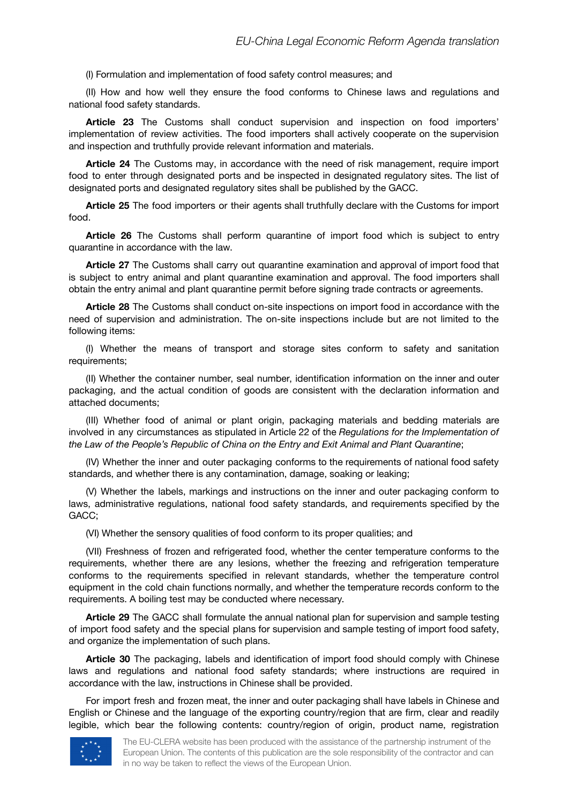(I) Formulation and implementation of food safety control measures; and

(II) How and how well they ensure the food conforms to Chinese laws and regulations and national food safety standards.

**Article 23** The Customs shall conduct supervision and inspection on food importers' implementation of review activities. The food importers shall actively cooperate on the supervision and inspection and truthfully provide relevant information and materials.

**Article 24** The Customs may, in accordance with the need of risk management, require import food to enter through designated ports and be inspected in designated regulatory sites. The list of designated ports and designated regulatory sites shall be published by the GACC.

**Article 25** The food importers or their agents shall truthfully declare with the Customs for import food.

**Article 26** The Customs shall perform quarantine of import food which is subject to entry quarantine in accordance with the law.

**Article 27** The Customs shall carry out quarantine examination and approval of import food that is subject to entry animal and plant quarantine examination and approval. The food importers shall obtain the entry animal and plant quarantine permit before signing trade contracts or agreements.

**Article 28** The Customs shall conduct on-site inspections on import food in accordance with the need of supervision and administration. The on-site inspections include but are not limited to the following items:

(I) Whether the means of transport and storage sites conform to safety and sanitation requirements;

(II) Whether the container number, seal number, identification information on the inner and outer packaging, and the actual condition of goods are consistent with the declaration information and attached documents;

(III) Whether food of animal or plant origin, packaging materials and bedding materials are involved in any circumstances as stipulated in Article 22 of the *Regulations for the Implementation of the Law of the People's Republic of China on the Entry and Exit Animal and Plant Quarantine*;

(IV) Whether the inner and outer packaging conforms to the requirements of national food safety standards, and whether there is any contamination, damage, soaking or leaking;

(V) Whether the labels, markings and instructions on the inner and outer packaging conform to laws, administrative regulations, national food safety standards, and requirements specified by the GACC;

(VI) Whether the sensory qualities of food conform to its proper qualities; and

(VII) Freshness of frozen and refrigerated food, whether the center temperature conforms to the requirements, whether there are any lesions, whether the freezing and refrigeration temperature conforms to the requirements specified in relevant standards, whether the temperature control equipment in the cold chain functions normally, and whether the temperature records conform to the requirements. A boiling test may be conducted where necessary.

**Article 29** The GACC shall formulate the annual national plan for supervision and sample testing of import food safety and the special plans for supervision and sample testing of import food safety, and organize the implementation of such plans.

**Article 30** The packaging, labels and identification of import food should comply with Chinese laws and regulations and national food safety standards; where instructions are required in accordance with the law, instructions in Chinese shall be provided.

For import fresh and frozen meat, the inner and outer packaging shall have labels in Chinese and English or Chinese and the language of the exporting country/region that are firm, clear and readily legible, which bear the following contents: country/region of origin, product name, registration

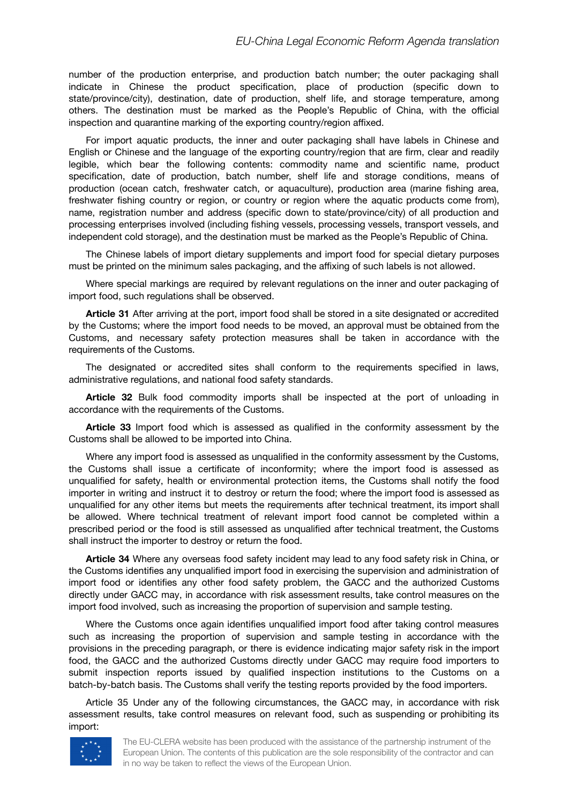number of the production enterprise, and production batch number; the outer packaging shall indicate in Chinese the product specification, place of production (specific down to state/province/city), destination, date of production, shelf life, and storage temperature, among others. The destination must be marked as the People's Republic of China, with the official inspection and quarantine marking of the exporting country/region affixed.

For import aquatic products, the inner and outer packaging shall have labels in Chinese and English or Chinese and the language of the exporting country/region that are firm, clear and readily legible, which bear the following contents: commodity name and scientific name, product specification, date of production, batch number, shelf life and storage conditions, means of production (ocean catch, freshwater catch, or aquaculture), production area (marine fishing area, freshwater fishing country or region, or country or region where the aquatic products come from), name, registration number and address (specific down to state/province/city) of all production and processing enterprises involved (including fishing vessels, processing vessels, transport vessels, and independent cold storage), and the destination must be marked as the People's Republic of China.

The Chinese labels of import dietary supplements and import food for special dietary purposes must be printed on the minimum sales packaging, and the affixing of such labels is not allowed.

Where special markings are required by relevant regulations on the inner and outer packaging of import food, such regulations shall be observed.

**Article 31** After arriving at the port, import food shall be stored in a site designated or accredited by the Customs; where the import food needs to be moved, an approval must be obtained from the Customs, and necessary safety protection measures shall be taken in accordance with the requirements of the Customs.

The designated or accredited sites shall conform to the requirements specified in laws, administrative regulations, and national food safety standards.

**Article 32** Bulk food commodity imports shall be inspected at the port of unloading in accordance with the requirements of the Customs.

**Article 33** Import food which is assessed as qualified in the conformity assessment by the Customs shall be allowed to be imported into China.

Where any import food is assessed as unqualified in the conformity assessment by the Customs, the Customs shall issue a certificate of inconformity; where the import food is assessed as unqualified for safety, health or environmental protection items, the Customs shall notify the food importer in writing and instruct it to destroy or return the food; where the import food is assessed as unqualified for any other items but meets the requirements after technical treatment, its import shall be allowed. Where technical treatment of relevant import food cannot be completed within a prescribed period or the food is still assessed as unqualified after technical treatment, the Customs shall instruct the importer to destroy or return the food.

**Article 34** Where any overseas food safety incident may lead to any food safety risk in China, or the Customs identifies any unqualified import food in exercising the supervision and administration of import food or identifies any other food safety problem, the GACC and the authorized Customs directly under GACC may, in accordance with risk assessment results, take control measures on the import food involved, such as increasing the proportion of supervision and sample testing.

Where the Customs once again identifies unqualified import food after taking control measures such as increasing the proportion of supervision and sample testing in accordance with the provisions in the preceding paragraph, or there is evidence indicating major safety risk in the import food, the GACC and the authorized Customs directly under GACC may require food importers to submit inspection reports issued by qualified inspection institutions to the Customs on a batch-by-batch basis. The Customs shall verify the testing reports provided by the food importers.

Article 35 Under any of the following circumstances, the GACC may, in accordance with risk assessment results, take control measures on relevant food, such as suspending or prohibiting its import:



The EU-CLERA website has been produced with the assistance of the partnership instrument of the European Union. The contents of this publication are the sole responsibility of the contractor and can in no way be taken to reflect the views of the European Union.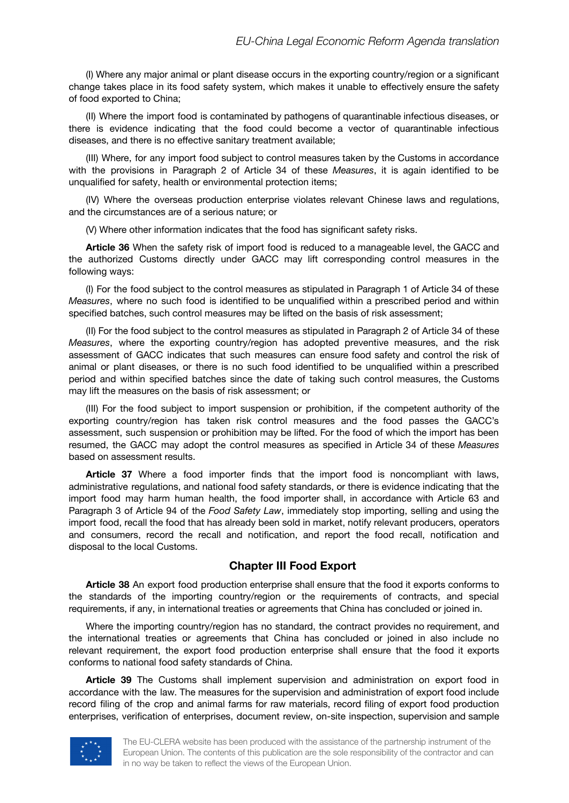(I) Where any major animal or plant disease occurs in the exporting country/region or a significant change takes place in its food safety system, which makes it unable to effectively ensure the safety of food exported to China;

(II) Where the import food is contaminated by pathogens of quarantinable infectious diseases, or there is evidence indicating that the food could become a vector of quarantinable infectious diseases, and there is no effective sanitary treatment available;

(III) Where, for any import food subject to control measures taken by the Customs in accordance with the provisions in Paragraph 2 of Article 34 of these *Measures*, it is again identified to be unqualified for safety, health or environmental protection items;

(IV) Where the overseas production enterprise violates relevant Chinese laws and regulations, and the circumstances are of a serious nature; or

(V) Where other information indicates that the food has significant safety risks.

**Article 36** When the safety risk of import food is reduced to a manageable level, the GACC and the authorized Customs directly under GACC may lift corresponding control measures in the following ways:

(I) For the food subject to the control measures as stipulated in Paragraph 1 of Article 34 of these *Measures*, where no such food is identified to be unqualified within a prescribed period and within specified batches, such control measures may be lifted on the basis of risk assessment;

(II) For the food subject to the control measures as stipulated in Paragraph 2 of Article 34 of these *Measures*, where the exporting country/region has adopted preventive measures, and the risk assessment of GACC indicates that such measures can ensure food safety and control the risk of animal or plant diseases, or there is no such food identified to be unqualified within a prescribed period and within specified batches since the date of taking such control measures, the Customs may lift the measures on the basis of risk assessment; or

(III) For the food subject to import suspension or prohibition, if the competent authority of the exporting country/region has taken risk control measures and the food passes the GACC's assessment, such suspension or prohibition may be lifted. For the food of which the import has been resumed, the GACC may adopt the control measures as specified in Article 34 of these *Measures* based on assessment results.

**Article 37** Where a food importer finds that the import food is noncompliant with laws, administrative regulations, and national food safety standards, or there is evidence indicating that the import food may harm human health, the food importer shall, in accordance with Article 63 and Paragraph 3 of Article 94 of the *Food Safety Law*, immediately stop importing, selling and using the import food, recall the food that has already been sold in market, notify relevant producers, operators and consumers, record the recall and notification, and report the food recall, notification and disposal to the local Customs.

#### **Chapter III Food Export**

**Article 38** An export food production enterprise shall ensure that the food it exports conforms to the standards of the importing country/region or the requirements of contracts, and special requirements, if any, in international treaties or agreements that China has concluded or joined in.

Where the importing country/region has no standard, the contract provides no requirement, and the international treaties or agreements that China has concluded or joined in also include no relevant requirement, the export food production enterprise shall ensure that the food it exports conforms to national food safety standards of China.

**Article 39** The Customs shall implement supervision and administration on export food in accordance with the law. The measures for the supervision and administration of export food include record filing of the crop and animal farms for raw materials, record filing of export food production enterprises, verification of enterprises, document review, on-site inspection, supervision and sample

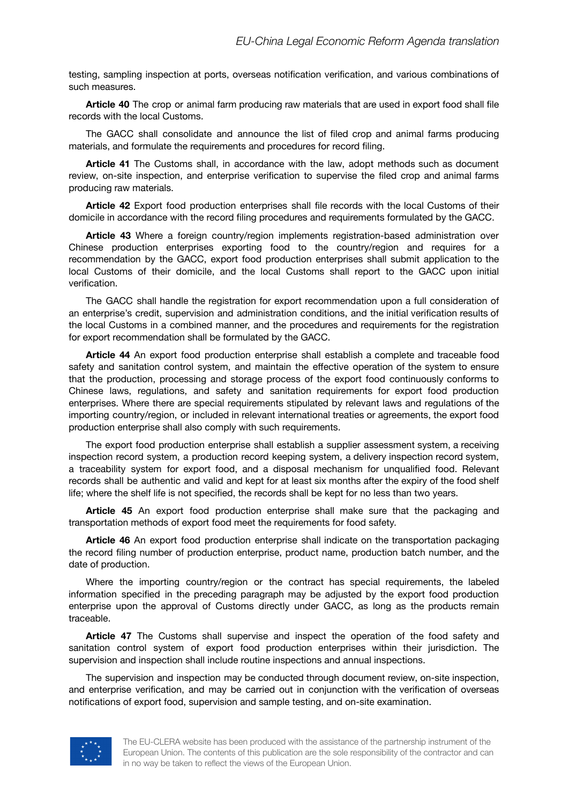testing, sampling inspection at ports, overseas notification verification, and various combinations of such measures.

**Article 40** The crop or animal farm producing raw materials that are used in export food shall file records with the local Customs.

The GACC shall consolidate and announce the list of filed crop and animal farms producing materials, and formulate the requirements and procedures for record filing.

**Article 41** The Customs shall, in accordance with the law, adopt methods such as document review, on-site inspection, and enterprise verification to supervise the filed crop and animal farms producing raw materials.

**Article 42** Export food production enterprises shall file records with the local Customs of their domicile in accordance with the record filing procedures and requirements formulated by the GACC.

**Article 43** Where a foreign country/region implements registration-based administration over Chinese production enterprises exporting food to the country/region and requires for a recommendation by the GACC, export food production enterprises shall submit application to the local Customs of their domicile, and the local Customs shall report to the GACC upon initial verification.

The GACC shall handle the registration for export recommendation upon a full consideration of an enterprise's credit, supervision and administration conditions, and the initial verification results of the local Customs in a combined manner, and the procedures and requirements for the registration for export recommendation shall be formulated by the GACC.

**Article 44** An export food production enterprise shall establish a complete and traceable food safety and sanitation control system, and maintain the effective operation of the system to ensure that the production, processing and storage process of the export food continuously conforms to Chinese laws, regulations, and safety and sanitation requirements for export food production enterprises. Where there are special requirements stipulated by relevant laws and regulations of the importing country/region, or included in relevant international treaties or agreements, the export food production enterprise shall also comply with such requirements.

The export food production enterprise shall establish a supplier assessment system, a receiving inspection record system, a production record keeping system, a delivery inspection record system, a traceability system for export food, and a disposal mechanism for unqualified food. Relevant records shall be authentic and valid and kept for at least six months after the expiry of the food shelf life; where the shelf life is not specified, the records shall be kept for no less than two years.

**Article 45** An export food production enterprise shall make sure that the packaging and transportation methods of export food meet the requirements for food safety.

**Article 46** An export food production enterprise shall indicate on the transportation packaging the record filing number of production enterprise, product name, production batch number, and the date of production.

Where the importing country/region or the contract has special requirements, the labeled information specified in the preceding paragraph may be adjusted by the export food production enterprise upon the approval of Customs directly under GACC, as long as the products remain traceable.

**Article 47** The Customs shall supervise and inspect the operation of the food safety and sanitation control system of export food production enterprises within their jurisdiction. The supervision and inspection shall include routine inspections and annual inspections.

The supervision and inspection may be conducted through document review, on-site inspection, and enterprise verification, and may be carried out in conjunction with the verification of overseas notifications of export food, supervision and sample testing, and on-site examination.

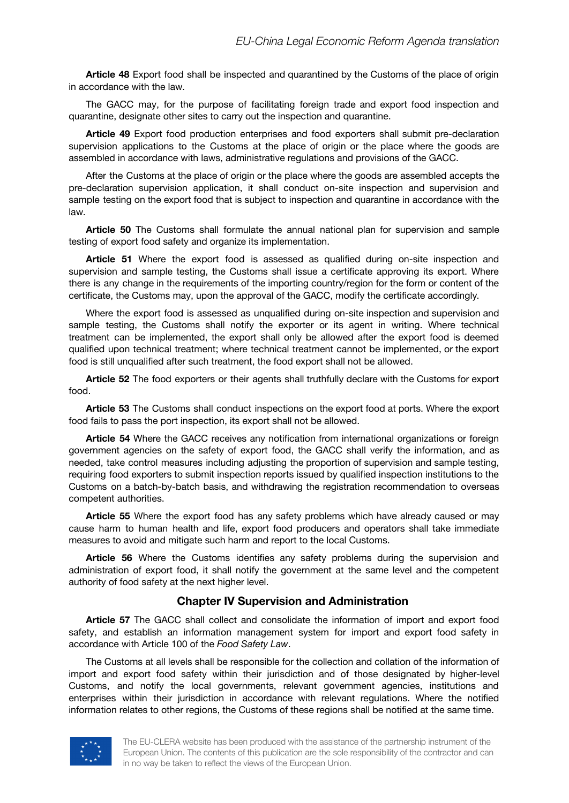**Article 48** Export food shall be inspected and quarantined by the Customs of the place of origin in accordance with the law.

The GACC may, for the purpose of facilitating foreign trade and export food inspection and quarantine, designate other sites to carry out the inspection and quarantine.

**Article 49** Export food production enterprises and food exporters shall submit pre-declaration supervision applications to the Customs at the place of origin or the place where the goods are assembled in accordance with laws, administrative regulations and provisions of the GACC.

After the Customs at the place of origin or the place where the goods are assembled accepts the pre-declaration supervision application, it shall conduct on-site inspection and supervision and sample testing on the export food that is subject to inspection and quarantine in accordance with the law.

**Article 50** The Customs shall formulate the annual national plan for supervision and sample testing of export food safety and organize its implementation.

**Article 51** Where the export food is assessed as qualified during on-site inspection and supervision and sample testing, the Customs shall issue a certificate approving its export. Where there is any change in the requirements of the importing country/region for the form or content of the certificate, the Customs may, upon the approval of the GACC, modify the certificate accordingly.

Where the export food is assessed as unqualified during on-site inspection and supervision and sample testing, the Customs shall notify the exporter or its agent in writing. Where technical treatment can be implemented, the export shall only be allowed after the export food is deemed qualified upon technical treatment; where technical treatment cannot be implemented, or the export food is still unqualified after such treatment, the food export shall not be allowed.

**Article 52** The food exporters or their agents shall truthfully declare with the Customs for export food.

**Article 53** The Customs shall conduct inspections on the export food at ports. Where the export food fails to pass the port inspection, its export shall not be allowed.

**Article 54** Where the GACC receives any notification from international organizations or foreign government agencies on the safety of export food, the GACC shall verify the information, and as needed, take control measures including adjusting the proportion of supervision and sample testing, requiring food exporters to submit inspection reports issued by qualified inspection institutions to the Customs on a batch-by-batch basis, and withdrawing the registration recommendation to overseas competent authorities.

**Article 55** Where the export food has any safety problems which have already caused or may cause harm to human health and life, export food producers and operators shall take immediate measures to avoid and mitigate such harm and report to the local Customs.

**Article 56** Where the Customs identifies any safety problems during the supervision and administration of export food, it shall notify the government at the same level and the competent authority of food safety at the next higher level.

#### **Chapter IV Supervision and Administration**

**Article 57** The GACC shall collect and consolidate the information of import and export food safety, and establish an information management system for import and export food safety in accordance with Article 100 of the *Food Safety Law*.

The Customs at all levels shall be responsible for the collection and collation of the information of import and export food safety within their jurisdiction and of those designated by higher-level Customs, and notify the local governments, relevant government agencies, institutions and enterprises within their jurisdiction in accordance with relevant regulations. Where the notified information relates to other regions, the Customs of these regions shall be notified at the same time.

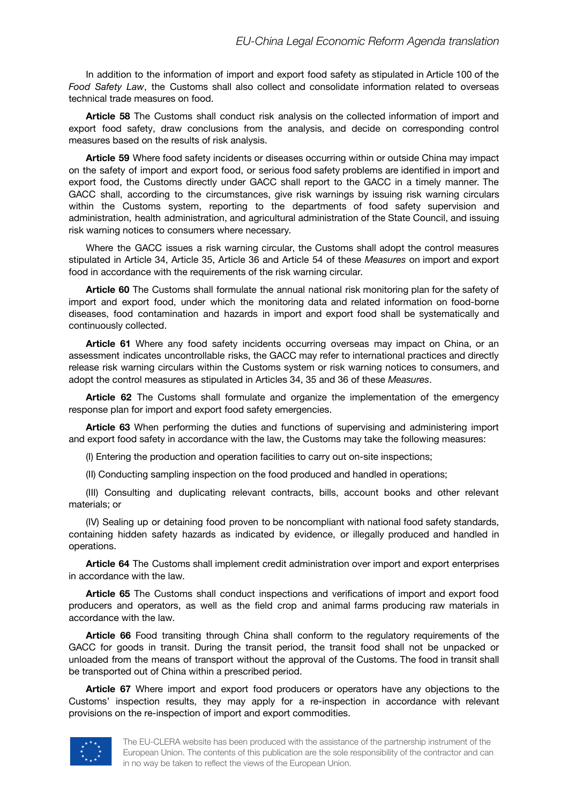In addition to the information of import and export food safety as stipulated in Article 100 of the *Food Safety Law*, the Customs shall also collect and consolidate information related to overseas technical trade measures on food.

**Article 58** The Customs shall conduct risk analysis on the collected information of import and export food safety, draw conclusions from the analysis, and decide on corresponding control measures based on the results of risk analysis.

**Article 59** Where food safety incidents or diseases occurring within or outside China may impact on the safety of import and export food, or serious food safety problems are identified in import and export food, the Customs directly under GACC shall report to the GACC in a timely manner. The GACC shall, according to the circumstances, give risk warnings by issuing risk warning circulars within the Customs system, reporting to the departments of food safety supervision and administration, health administration, and agricultural administration of the State Council, and issuing risk warning notices to consumers where necessary.

Where the GACC issues a risk warning circular, the Customs shall adopt the control measures stipulated in Article 34, Article 35, Article 36 and Article 54 of these *Measures* on import and export food in accordance with the requirements of the risk warning circular.

**Article 60** The Customs shall formulate the annual national risk monitoring plan for the safety of import and export food, under which the monitoring data and related information on food-borne diseases, food contamination and hazards in import and export food shall be systematically and continuously collected.

**Article 61** Where any food safety incidents occurring overseas may impact on China, or an assessment indicates uncontrollable risks, the GACC may refer to international practices and directly release risk warning circulars within the Customs system or risk warning notices to consumers, and adopt the control measures as stipulated in Articles 34, 35 and 36 of these *Measures*.

**Article 62** The Customs shall formulate and organize the implementation of the emergency response plan for import and export food safety emergencies.

**Article 63** When performing the duties and functions of supervising and administering import and export food safety in accordance with the law, the Customs may take the following measures:

(I) Entering the production and operation facilities to carry out on-site inspections;

(II) Conducting sampling inspection on the food produced and handled in operations;

(III) Consulting and duplicating relevant contracts, bills, account books and other relevant materials; or

(IV) Sealing up or detaining food proven to be noncompliant with national food safety standards, containing hidden safety hazards as indicated by evidence, or illegally produced and handled in operations.

**Article 64** The Customs shall implement credit administration over import and export enterprises in accordance with the law.

**Article 65** The Customs shall conduct inspections and verifications of import and export food producers and operators, as well as the field crop and animal farms producing raw materials in accordance with the law.

**Article 66** Food transiting through China shall conform to the regulatory requirements of the GACC for goods in transit. During the transit period, the transit food shall not be unpacked or unloaded from the means of transport without the approval of the Customs. The food in transit shall be transported out of China within a prescribed period.

**Article 67** Where import and export food producers or operators have any objections to the Customs' inspection results, they may apply for a re-inspection in accordance with relevant provisions on the re-inspection of import and export commodities.

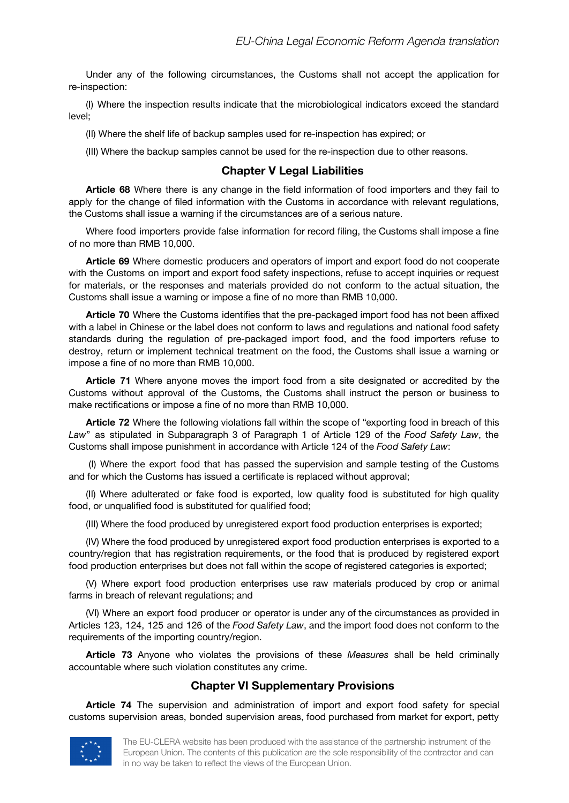Under any of the following circumstances, the Customs shall not accept the application for re-inspection:

(I) Where the inspection results indicate that the microbiological indicators exceed the standard level;

(II) Where the shelf life of backup samples used for re-inspection has expired; or

(III) Where the backup samples cannot be used for the re-inspection due to other reasons.

### **Chapter V Legal Liabilities**

**Article 68** Where there is any change in the field information of food importers and they fail to apply for the change of filed information with the Customs in accordance with relevant regulations, the Customs shall issue a warning if the circumstances are of a serious nature.

Where food importers provide false information for record filing, the Customs shall impose a fine of no more than RMB 10,000.

**Article 69** Where domestic producers and operators of import and export food do not cooperate with the Customs on import and export food safety inspections, refuse to accept inquiries or request for materials, or the responses and materials provided do not conform to the actual situation, the Customs shall issue a warning or impose a fine of no more than RMB 10,000.

**Article 70** Where the Customs identifies that the pre-packaged import food has not been affixed with a label in Chinese or the label does not conform to laws and regulations and national food safety standards during the regulation of pre-packaged import food, and the food importers refuse to destroy, return or implement technical treatment on the food, the Customs shall issue a warning or impose a fine of no more than RMB 10,000.

**Article 71** Where anyone moves the import food from a site designated or accredited by the Customs without approval of the Customs, the Customs shall instruct the person or business to make rectifications or impose a fine of no more than RMB 10,000.

**Article 72** Where the following violations fall within the scope of "exporting food in breach of this *Law*" as stipulated in Subparagraph 3 of Paragraph 1 of Article 129 of the *Food Safety Law*, the Customs shall impose punishment in accordance with Article 124 of the *Food Safety Law*:

(I) Where the export food that has passed the supervision and sample testing of the Customs and for which the Customs has issued a certificate is replaced without approval;

(II) Where adulterated or fake food is exported, low quality food is substituted for high quality food, or unqualified food is substituted for qualified food;

(III) Where the food produced by unregistered export food production enterprises is exported;

(IV) Where the food produced by unregistered export food production enterprises is exported to a country/region that has registration requirements, or the food that is produced by registered export food production enterprises but does not fall within the scope of registered categories is exported;

(V) Where export food production enterprises use raw materials produced by crop or animal farms in breach of relevant regulations; and

(VI) Where an export food producer or operator is under any of the circumstances as provided in Articles 123, 124, 125 and 126 of the *Food Safety Law*, and the import food does not conform to the requirements of the importing country/region.

**Article 73** Anyone who violates the provisions of these *Measures* shall be held criminally accountable where such violation constitutes any crime.

### **Chapter VI Supplementary Provisions**

**Article 74** The supervision and administration of import and export food safety for special customs supervision areas, bonded supervision areas, food purchased from market for export, petty